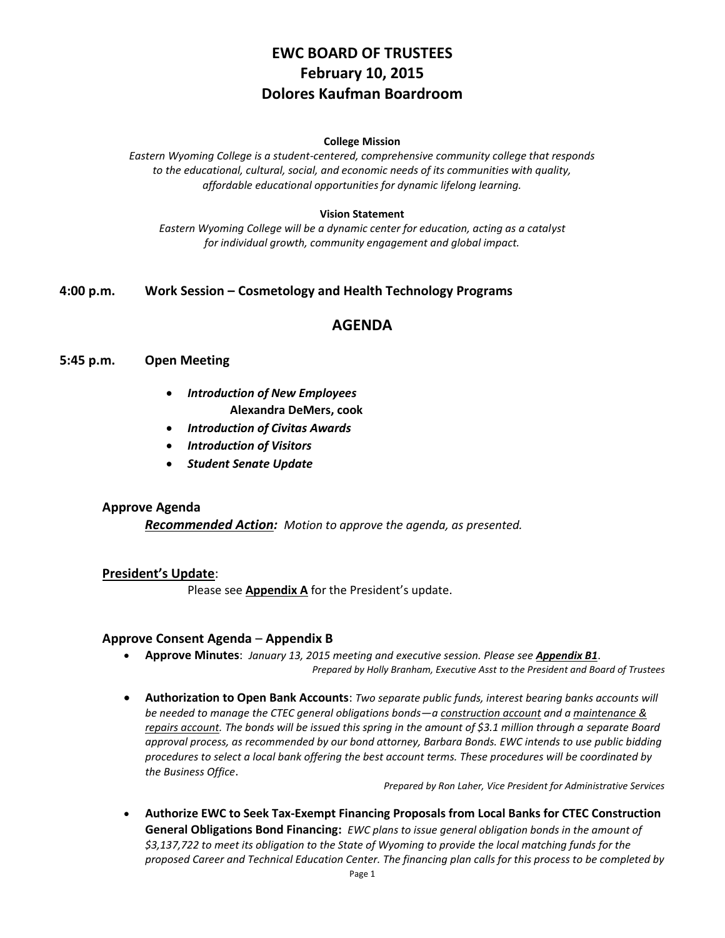# **EWC BOARD OF TRUSTEES February 10, 2015 Dolores Kaufman Boardroom**

#### **College Mission**

*Eastern Wyoming College is a student-centered, comprehensive community college that responds to the educational, cultural, social, and economic needs of its communities with quality, affordable educational opportunities for dynamic lifelong learning.*

#### **Vision Statement**

*Eastern Wyoming College will be a dynamic center for education, acting as a catalyst for individual growth, community engagement and global impact.*

## **4:00 p.m. Work Session – Cosmetology and Health Technology Programs**

# **AGENDA**

#### **5:45 p.m. Open Meeting**

- *Introduction of New Employees* **Alexandra DeMers, cook**
- *Introduction of Civitas Awards*
- *Introduction of Visitors*
- *Student Senate Update*

#### **Approve Agenda**

*Recommended Action: Motion to approve the agenda, as presented.*

### **President's Update**:

Please see **Appendix A** for the President's update.

## **Approve Consent Agenda** – **Appendix B**

- **Approve Minutes**: *January 13, 2015 meeting and executive session. Please see Appendix B1*. *Prepared by Holly Branham, Executive Asst to the President and Board of Trustees*
- **Authorization to Open Bank Accounts**: *Two separate public funds, interest bearing banks accounts will be needed to manage the CTEC general obligations bonds—a construction account and a maintenance & repairs account. The bonds will be issued this spring in the amount of \$3.1 million through a separate Board approval process, as recommended by our bond attorney, Barbara Bonds. EWC intends to use public bidding procedures to select a local bank offering the best account terms. These procedures will be coordinated by the Business Office*.

*Prepared by Ron Laher, Vice President for Administrative Services*

 **Authorize EWC to Seek Tax-Exempt Financing Proposals from Local Banks for CTEC Construction General Obligations Bond Financing:** *EWC plans to issue general obligation bonds in the amount of \$3,137,722 to meet its obligation to the State of Wyoming to provide the local matching funds for the proposed Career and Technical Education Center. The financing plan calls for this process to be completed by*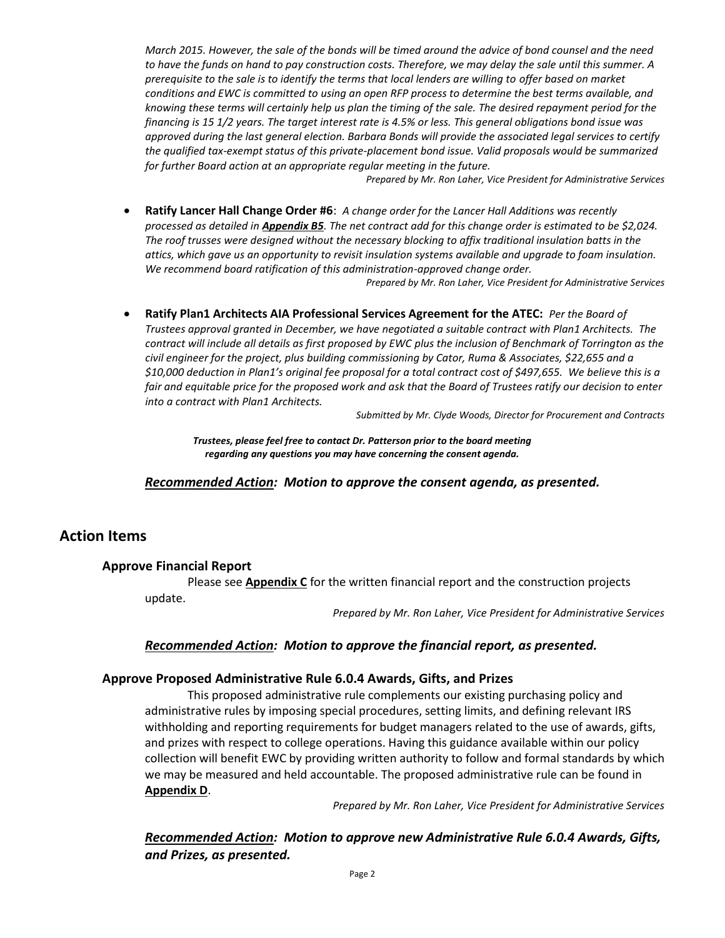*March 2015. However, the sale of the bonds will be timed around the advice of bond counsel and the need to have the funds on hand to pay construction costs. Therefore, we may delay the sale until this summer. A prerequisite to the sale is to identify the terms that local lenders are willing to offer based on market conditions and EWC is committed to using an open RFP process to determine the best terms available, and knowing these terms will certainly help us plan the timing of the sale. The desired repayment period for the financing is 15 1/2 years. The target interest rate is 4.5% or less. This general obligations bond issue was approved during the last general election. Barbara Bonds will provide the associated legal services to certify the qualified tax-exempt status of this private-placement bond issue. Valid proposals would be summarized for further Board action at an appropriate regular meeting in the future.*

*Prepared by Mr. Ron Laher, Vice President for Administrative Services*

 **Ratify Lancer Hall Change Order #6**: *A change order for the Lancer Hall Additions was recently processed as detailed in Appendix B5. The net contract add for this change order is estimated to be \$2,024. The roof trusses were designed without the necessary blocking to affix traditional insulation batts in the attics, which gave us an opportunity to revisit insulation systems available and upgrade to foam insulation. We recommend board ratification of this administration-approved change order.*

*Prepared by Mr. Ron Laher, Vice President for Administrative Services*

 **Ratify Plan1 Architects AIA Professional Services Agreement for the ATEC:** *Per the Board of Trustees approval granted in December, we have negotiated a suitable contract with Plan1 Architects. The contract will include all details as first proposed by EWC plus the inclusion of Benchmark of Torrington as the civil engineer for the project, plus building commissioning by Cator, Ruma & Associates, \$22,655 and a \$10,000 deduction in Plan1's original fee proposal for a total contract cost of \$497,655. We believe this is a fair and equitable price for the proposed work and ask that the Board of Trustees ratify our decision to enter into a contract with Plan1 Architects.*

*Submitted by Mr. Clyde Woods, Director for Procurement and Contracts*

*Trustees, please feel free to contact Dr. Patterson prior to the board meeting regarding any questions you may have concerning the consent agenda.*

*Recommended Action: Motion to approve the consent agenda, as presented.*

# **Action Items**

#### **Approve Financial Report**

Please see **Appendix C** for the written financial report and the construction projects update.

*Prepared by Mr. Ron Laher, Vice President for Administrative Services*

## *Recommended Action: Motion to approve the financial report, as presented.*

#### **Approve Proposed Administrative Rule 6.0.4 Awards, Gifts, and Prizes**

This proposed administrative rule complements our existing purchasing policy and administrative rules by imposing special procedures, setting limits, and defining relevant IRS withholding and reporting requirements for budget managers related to the use of awards, gifts, and prizes with respect to college operations. Having this guidance available within our policy collection will benefit EWC by providing written authority to follow and formal standards by which we may be measured and held accountable. The proposed administrative rule can be found in **Appendix D**.

*Prepared by Mr. Ron Laher, Vice President for Administrative Services*

*Recommended Action: Motion to approve new Administrative Rule 6.0.4 Awards, Gifts, and Prizes, as presented.*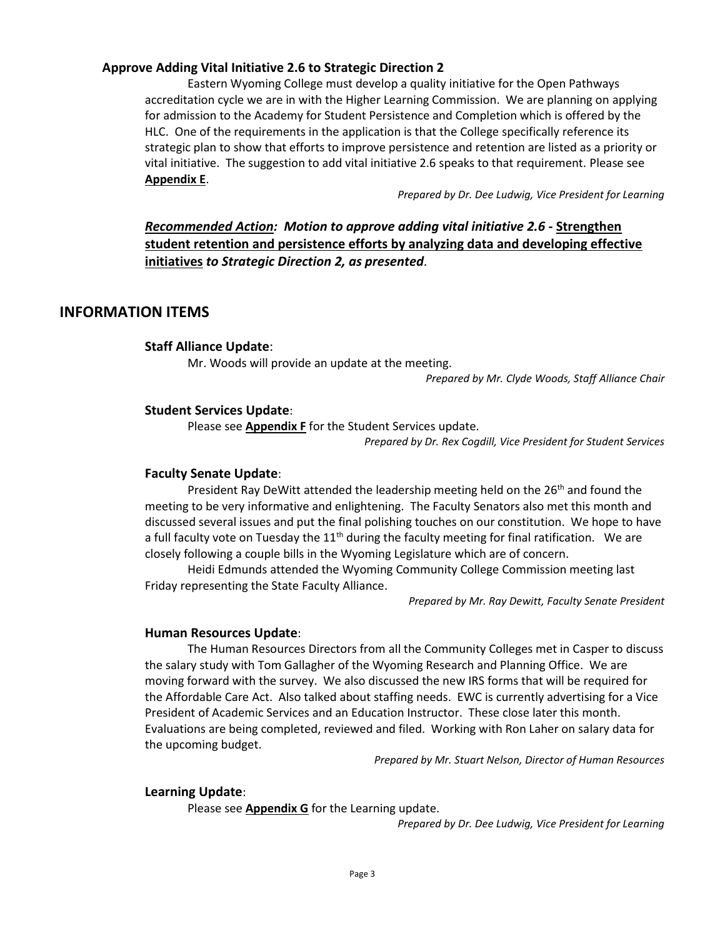## **Approve Adding Vital Initiative 2.6 to Strategic Direction 2**

Eastern Wyoming College must develop a quality initiative for the Open Pathways accreditation cycle we are in with the Higher Learning Commission. We are planning on applying for admission to the Academy for Student Persistence and Completion which is offered by the HLC. One of the requirements in the application is that the College specifically reference its strategic plan to show that efforts to improve persistence and retention are listed as a priority or vital initiative. The suggestion to add vital initiative 2.6 speaks to that requirement. Please see **Appendix E**.

*Prepared by Dr. Dee Ludwig, Vice President for Learning*

# *Recommended Action: Motion to approve adding vital initiative 2.6* **- Strengthen student retention and persistence efforts by analyzing data and developing effective initiatives** *to Strategic Direction 2, as presented.*

# **INFORMATION ITEMS**

## **Staff Alliance Update**:

Mr. Woods will provide an update at the meeting.

*Prepared by Mr. Clyde Woods, Staff Alliance Chair*

## **Student Services Update**:

Please see **Appendix F** for the Student Services update.

*Prepared by Dr. Rex Cogdill, Vice President for Student Services*

### **Faculty Senate Update**:

President Ray DeWitt attended the leadership meeting held on the 26<sup>th</sup> and found the meeting to be very informative and enlightening. The Faculty Senators also met this month and discussed several issues and put the final polishing touches on our constitution. We hope to have a full faculty vote on Tuesday the  $11<sup>th</sup>$  during the faculty meeting for final ratification. We are closely following a couple bills in the Wyoming Legislature which are of concern.

Heidi Edmunds attended the Wyoming Community College Commission meeting last Friday representing the State Faculty Alliance.

*Prepared by Mr. Ray Dewitt, Faculty Senate President*

#### **Human Resources Update**:

The Human Resources Directors from all the Community Colleges met in Casper to discuss the salary study with Tom Gallagher of the Wyoming Research and Planning Office. We are moving forward with the survey. We also discussed the new IRS forms that will be required for the Affordable Care Act. Also talked about staffing needs. EWC is currently advertising for a Vice President of Academic Services and an Education Instructor. These close later this month. Evaluations are being completed, reviewed and filed. Working with Ron Laher on salary data for the upcoming budget.

*Prepared by Mr. Stuart Nelson, Director of Human Resources*

#### **Learning Update**:

Please see **Appendix G** for the Learning update.

*Prepared by Dr. Dee Ludwig, Vice President for Learning*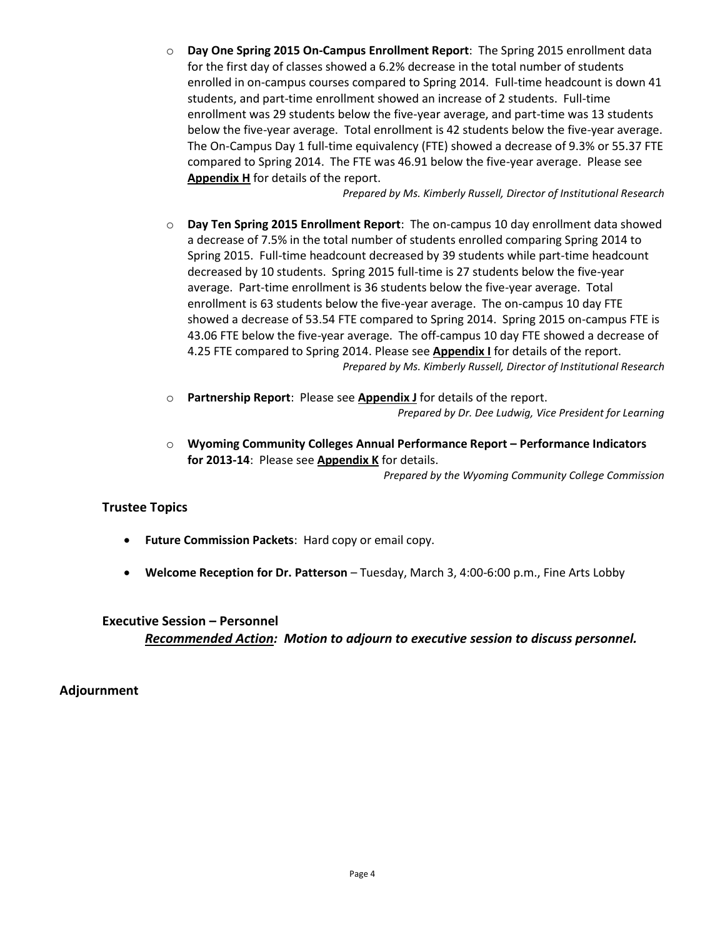o **Day One Spring 2015 On-Campus Enrollment Report**: The Spring 2015 enrollment data for the first day of classes showed a 6.2% decrease in the total number of students enrolled in on-campus courses compared to Spring 2014. Full-time headcount is down 41 students, and part-time enrollment showed an increase of 2 students. Full-time enrollment was 29 students below the five-year average, and part-time was 13 students below the five-year average. Total enrollment is 42 students below the five-year average. The On-Campus Day 1 full-time equivalency (FTE) showed a decrease of 9.3% or 55.37 FTE compared to Spring 2014. The FTE was 46.91 below the five-year average. Please see **Appendix H** for details of the report.

*Prepared by Ms. Kimberly Russell, Director of Institutional Research*

- o **Day Ten Spring 2015 Enrollment Report**: The on-campus 10 day enrollment data showed a decrease of 7.5% in the total number of students enrolled comparing Spring 2014 to Spring 2015. Full-time headcount decreased by 39 students while part-time headcount decreased by 10 students. Spring 2015 full-time is 27 students below the five-year average. Part-time enrollment is 36 students below the five-year average. Total enrollment is 63 students below the five-year average. The on-campus 10 day FTE showed a decrease of 53.54 FTE compared to Spring 2014. Spring 2015 on-campus FTE is 43.06 FTE below the five-year average. The off-campus 10 day FTE showed a decrease of 4.25 FTE compared to Spring 2014. Please see **Appendix I** for details of the report. *Prepared by Ms. Kimberly Russell, Director of Institutional Research*
- o **Partnership Report**: Please see **Appendix J** for details of the report. *Prepared by Dr. Dee Ludwig, Vice President for Learning*
- o **Wyoming Community Colleges Annual Performance Report – Performance Indicators for 2013-14**: Please see **Appendix K** for details.

*Prepared by the Wyoming Community College Commission*

# **Trustee Topics**

- **Future Commission Packets**: Hard copy or email copy.
- **Welcome Reception for Dr. Patterson** Tuesday, March 3, 4:00-6:00 p.m., Fine Arts Lobby

# **Executive Session – Personnel** *Recommended Action: Motion to adjourn to executive session to discuss personnel.*

# **Adjournment**